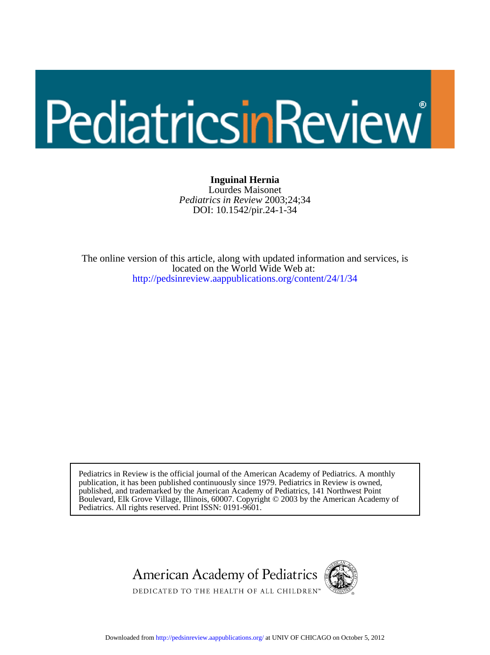# PediatricsinReview

DOI: 10.1542/pir.24-1-34 *Pediatrics in Review* 2003;24;34 Lourdes Maisonet **Inguinal Hernia**

[http://pedsinreview.aappublications.org/content/24/1/34](http://http://pedsinreview.aappublications.org/content/24/1/34) located on the World Wide Web at: The online version of this article, along with updated information and services, is

Pediatrics. All rights reserved. Print ISSN: 0191-9601. Boulevard, Elk Grove Village, Illinois, 60007. Copyright © 2003 by the American Academy of published, and trademarked by the American Academy of Pediatrics, 141 Northwest Point publication, it has been published continuously since 1979. Pediatrics in Review is owned, Pediatrics in Review is the official journal of the American Academy of Pediatrics. A monthly

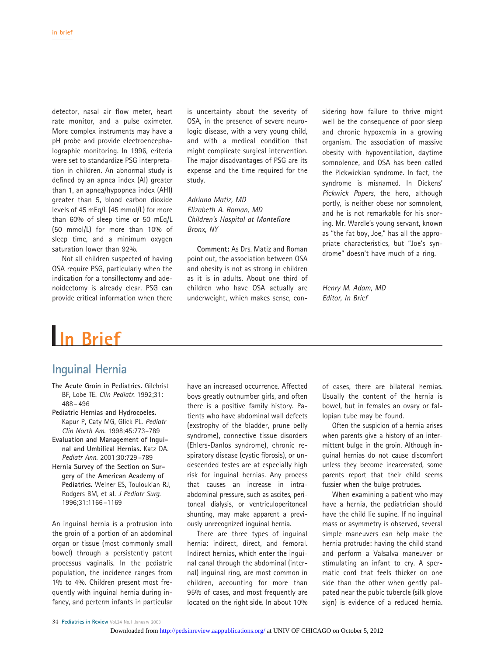detector, nasal air flow meter, heart rate monitor, and a pulse oximeter. More complex instruments may have a pH probe and provide electroencephalographic monitoring. In 1996, criteria were set to standardize PSG interpretation in children. An abnormal study is defined by an apnea index (AI) greater than 1, an apnea/hypopnea index (AHI) greater than 5, blood carbon dioxide levels of 45 mEq/L (45 mmol/L) for more than 60% of sleep time or 50 mEq/L (50 mmol/L) for more than 10% of sleep time, and a minimum oxygen saturation lower than 92%.

Not all children suspected of having OSA require PSG, particularly when the indication for a tonsillectomy and adenoidectomy is already clear. PSG can provide critical information when there

#### is uncertainty about the severity of OSA, in the presence of severe neurologic disease, with a very young child, and with a medical condition that might complicate surgical intervention. The major disadvantages of PSG are its expense and the time required for the study.

*Adriana Matiz, MD Elizabeth A. Roman, MD Children's Hospital at Montefiore Bronx, NY*

**Comment:** As Drs. Matiz and Roman point out, the association between OSA and obesity is not as strong in children as it is in adults. About one third of children who have OSA actually are underweight, which makes sense, considering how failure to thrive might well be the consequence of poor sleep and chronic hypoxemia in a growing organism. The association of massive obesity with hypoventilation, daytime somnolence, and OSA has been called the Pickwickian syndrome. In fact, the syndrome is misnamed. In Dickens' *Pickwick Papers*, the hero, although portly, is neither obese nor somnolent, and he is not remarkable for his snoring. Mr. Wardle's young servant, known as "the fat boy, Joe," has all the appropriate characteristics, but "Joe's syndrome" doesn't have much of a ring.

*Henry M. Adam, MD Editor, In Brief*

# **In Brief**

## **Inguinal Hernia**

- **The Acute Groin in Pediatrics.** Gilchrist BF, Lobe TE. *Clin Pediatr*. 1992;31: 488–496
- **Pediatric Hernias and Hydrocoeles.** Kapur P, Caty MG, Glick PL. *Pediatr Clin North Am*. 1998;45:773–789
- **Evaluation and Management of Inguinal and Umbilical Hernias.** Katz DA. *Pediatr Ann*. 2001;30:729–789

**Hernia Survey of the Section on Surgery of the American Academy of Pediatrics.** Weiner ES, Touloukian RJ, Rodgers BM, et al. *J Pediatr Surg*. 1996;31:1166–1169

An inguinal hernia is a protrusion into the groin of a portion of an abdominal organ or tissue (most commonly small bowel) through a persistently patent processus vaginalis. In the pediatric population, the incidence ranges from 1% to 4%. Children present most frequently with inguinal hernia during infancy, and perterm infants in particular

have an increased occurrence. Affected boys greatly outnumber girls, and often there is a positive family history. Patients who have abdominal wall defects (exstrophy of the bladder, prune belly syndrome), connective tissue disorders (Ehlers-Danlos syndrome), chronic respiratory disease (cystic fibrosis), or undescended testes are at especially high risk for inguinal hernias. Any process that causes an increase in intraabdominal pressure, such as ascites, peritoneal dialysis, or ventriculoperitoneal shunting, may make apparent a previously unrecognized inguinal hernia.

There are three types of inguinal hernia: indirect, direct, and femoral. Indirect hernias, which enter the inguinal canal through the abdominal (internal) inguinal ring, are most common in children, accounting for more than 95% of cases, and most frequently are located on the right side. In about 10%

of cases, there are bilateral hernias. Usually the content of the hernia is bowel, but in females an ovary or fallopian tube may be found.

Often the suspicion of a hernia arises when parents give a history of an intermittent bulge in the groin. Although inguinal hernias do not cause discomfort unless they become incarcerated, some parents report that their child seems fussier when the bulge protrudes.

When examining a patient who may have a hernia, the pediatrician should have the child lie supine. If no inguinal mass or asymmetry is observed, several simple maneuvers can help make the hernia protrude: having the child stand and perform a Valsalva maneuver or stimulating an infant to cry. A spermatic cord that feels thicker on one side than the other when gently palpated near the pubic tubercle (silk glove sign) is evidence of a reduced hernia.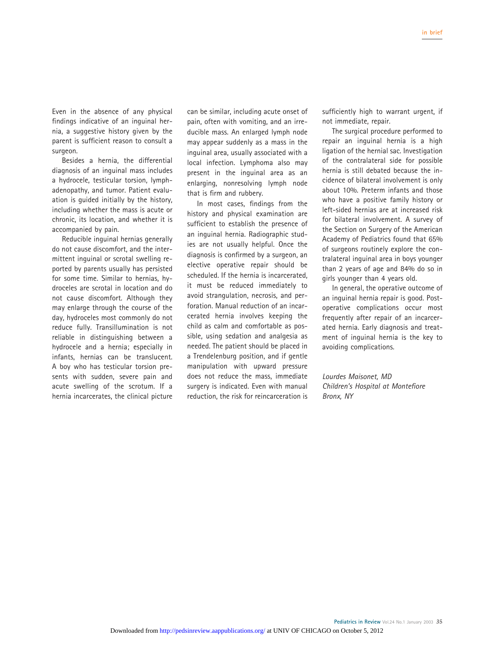Even in the absence of any physical findings indicative of an inguinal hernia, a suggestive history given by the parent is sufficient reason to consult a surgeon.

Besides a hernia, the differential diagnosis of an inguinal mass includes a hydrocele, testicular torsion, lymphadenopathy, and tumor. Patient evaluation is guided initially by the history, including whether the mass is acute or chronic, its location, and whether it is accompanied by pain.

Reducible inguinal hernias generally do not cause discomfort, and the intermittent inguinal or scrotal swelling reported by parents usually has persisted for some time. Similar to hernias, hydroceles are scrotal in location and do not cause discomfort. Although they may enlarge through the course of the day, hydroceles most commonly do not reduce fully. Transillumination is not reliable in distinguishing between a hydrocele and a hernia; especially in infants, hernias can be translucent. A boy who has testicular torsion presents with sudden, severe pain and acute swelling of the scrotum. If a hernia incarcerates, the clinical picture

can be similar, including acute onset of pain, often with vomiting, and an irreducible mass. An enlarged lymph node may appear suddenly as a mass in the inguinal area, usually associated with a local infection. Lymphoma also may present in the inguinal area as an enlarging, nonresolving lymph node that is firm and rubbery.

In most cases, findings from the history and physical examination are sufficient to establish the presence of an inguinal hernia. Radiographic studies are not usually helpful. Once the diagnosis is confirmed by a surgeon, an elective operative repair should be scheduled. If the hernia is incarcerated, it must be reduced immediately to avoid strangulation, necrosis, and perforation. Manual reduction of an incarcerated hernia involves keeping the child as calm and comfortable as possible, using sedation and analgesia as needed. The patient should be placed in a Trendelenburg position, and if gentle manipulation with upward pressure does not reduce the mass, immediate surgery is indicated. Even with manual reduction, the risk for reincarceration is sufficiently high to warrant urgent, if not immediate, repair.

The surgical procedure performed to repair an inguinal hernia is a high ligation of the hernial sac. Investigation of the contralateral side for possible hernia is still debated because the incidence of bilateral involvement is only about 10%. Preterm infants and those who have a positive family history or left-sided hernias are at increased risk for bilateral involvement. A survey of the Section on Surgery of the American Academy of Pediatrics found that 65% of surgeons routinely explore the contralateral inguinal area in boys younger than 2 years of age and 84% do so in girls younger than 4 years old.

In general, the operative outcome of an inguinal hernia repair is good. Postoperative complications occur most frequently after repair of an incarcerated hernia. Early diagnosis and treatment of inguinal hernia is the key to avoiding complications.

*Lourdes Maisonet, MD Children's Hospital at Montefiore Bronx, NY*